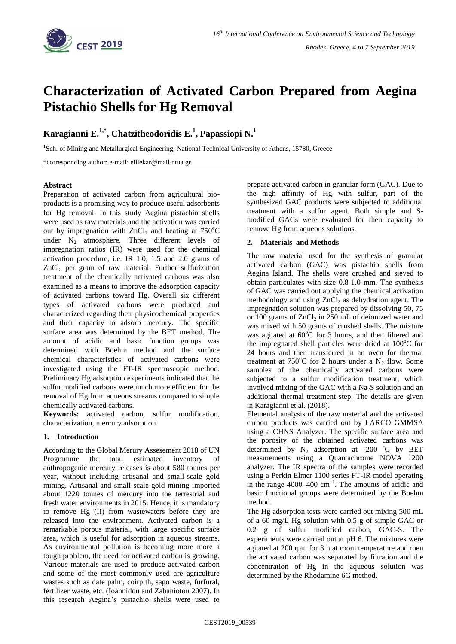

# **Characterization of Activated Carbon Prepared from Aegina Pistachio Shells for Hg Removal**

# **Karagianni E.1,\* , Chatzitheodoridis E. 1 , Papassiopi N.<sup>1</sup>**

<sup>1</sup>Sch. of Mining and Metallurgical Engineering, National Technical University of Athens, 15780, Greece

\*corresponding author: e-mail: elliekar@mail.ntua.gr

## **Abstract**

Preparation of activated carbon from agricultural bioproducts is a promising way to produce useful adsorbents for Hg removal. In this study Aegina pistachio shells were used as raw materials and the activation was carried out by impregnation with  $ZnCl<sub>2</sub>$  and heating at 750<sup>o</sup>C under  $N_2$  atmosphere. Three different levels of impregnation ratios (IR) were used for the chemical activation procedure, i.e. IR 1.0, 1.5 and 2.0 grams of  $ZnCl<sub>2</sub>$  per gram of raw material. Further sulfurization treatment of the chemically activated carbons was also examined as a means to improve the adsorption capacity of activated carbons toward Hg. Overall six different types of activated carbons were produced and characterized regarding their physicochemical properties and their capacity to adsorb mercury. The specific surface area was determined by the BET method. The amount of acidic and basic function groups was determined with Boehm method and the surface chemical characteristics of activated carbons were investigated using the FT-IR spectroscopic method. Preliminary Hg adsorption experiments indicated that the sulfur modified carbons were much more efficient for the removal of Hg from aqueous streams compared to simple chemically activated carbons.

**Keywords:** activated carbon, sulfur modification, characterization, mercury adsorption

## **1. Introduction**

According to the Global Merury Assesement 2018 of UN Programme the total estimated inventory of anthropogenic mercury releases is about 580 tonnes per year, without including artisanal and small-scale gold mining. Artisanal and small-scale gold mining imported about 1220 tonnes of mercury into the terrestrial and fresh water environments in 2015. Hence, it is mandatory to remove Hg (II) from wastewaters before they are released into the environment. Activated carbon is a remarkable porous material, with large specific surface area, which is useful for adsorption in aqueous streams. As environmental pollution is becoming more more a tough problem, the need for activated carbon is growing. Various materials are used to produce activated carbon and some of the most commonly used are agriculture wastes such as date palm, coirpith, sago waste, furfural, fertilizer waste, etc. (Ioannidou and Zabaniotou 2007). In this research Aegina's pistachio shells were used to

prepare activated carbon in granular form (GAC). Due to the high affinity of Hg with sulfur, part of the synthesized GAC products were subjected to additional treatment with a sulfur agent. Both simple and Smodified GACs were evaluated for their capacity to remove Hg from aqueous solutions.

## **2. Materials and Methods**

The raw material used for the synthesis of granular activated carbon (GAC) was pistachio shells from Aegina Island. The shells were crushed and sieved to obtain particulates with size 0.8-1.0 mm. The synthesis of GAC was carried out applying the chemical activation methodology and using  $ZnCl<sub>2</sub>$  as dehydration agent. The impregnation solution was prepared by dissolving 50, 75 or 100 grams of  $ZnCl<sub>2</sub>$  in 250 mL of deionized water and was mixed with 50 grams of crushed shells. The mixture was agitated at  $60^{\circ}$ C for 3 hours, and then filtered and the impregnated shell particles were dried at  $100^{\circ}$ C for 24 hours and then transferred in an oven for thermal treatment at 750 $^{\circ}$ C for 2 hours under a N<sub>2</sub> flow. Some samples of the chemically activated carbons were subjected to a sulfur modification treatment, which involved mixing of the GAC with a  $Na<sub>2</sub>S$  solution and an additional thermal treatment step. The details are given in Karagianni et al. (2018).

Elemental analysis of the raw material and the activated carbon products was carried out by LARCO GMMSA using a CHNS Analyzer. The specific surface area and the porosity of the obtained activated carbons was determined by  $N_2$  adsorption at -200 °C by BET measurements using a Quantachrome NOVA 1200 analyzer. The IR spectra of the samples were recorded using a Perkin Elmer 1100 series FT-IR model operating in the range  $4000-400$  cm<sup>-1</sup>. The amounts of acidic and basic functional groups were determined by the Boehm method.

The Hg adsorption tests were carried out mixing 500 mL of a 60 mg/L Hg solution with 0.5 g of simple GAC or 0.2 g of sulfur modified carbon, GAC-S. The experiments were carried out at pH 6. The mixtures were agitated at 200 rpm for 3 h at room temperature and then the activated carbon was separated by filtration and the concentration of Hg in the aqueous solution was determined by the Rhodamine 6G method.